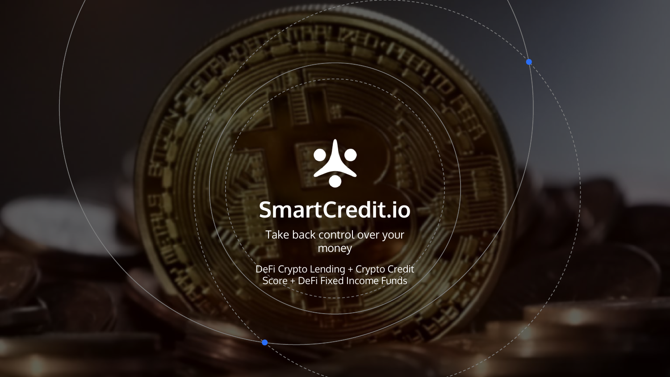

## **SmartCredit.io**

Take back control over your money

DeFi Crypto Lending + Crypto Credit Score + DeFi Fixed Income Funds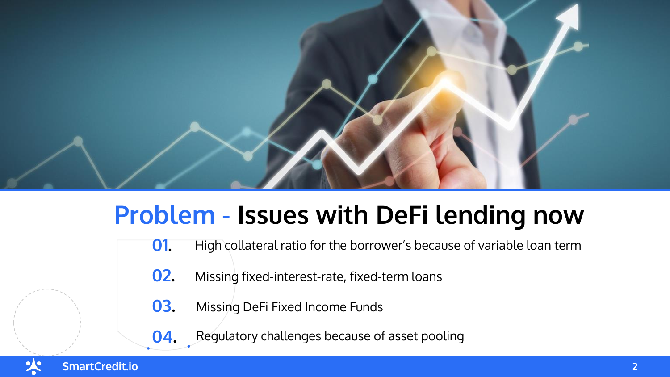

## **Problem - Issues with DeFi lending now**

- **01.** High collateral ratio for the borrower's because of variable loan term
	- **02.** Missing fixed-interest-rate, fixed-term loans
	- **03.** Missing DeFi Fixed Income Funds
	- **04.** Regulatory challenges because of asset pooling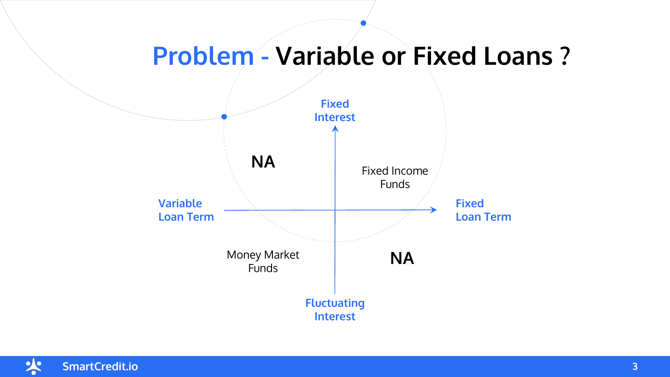## **Problem - Variable or Fixed Loans ?**



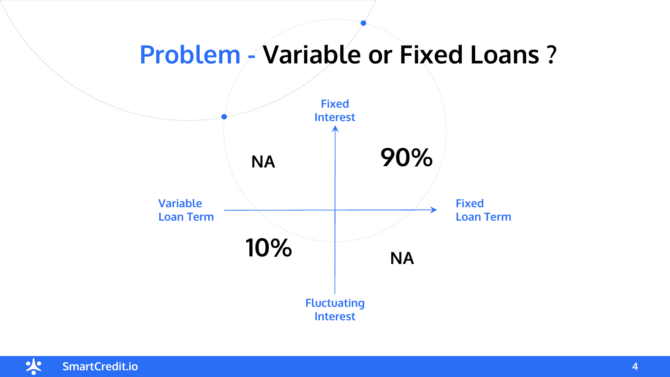## **Problem - Variable or Fixed Loans ?**



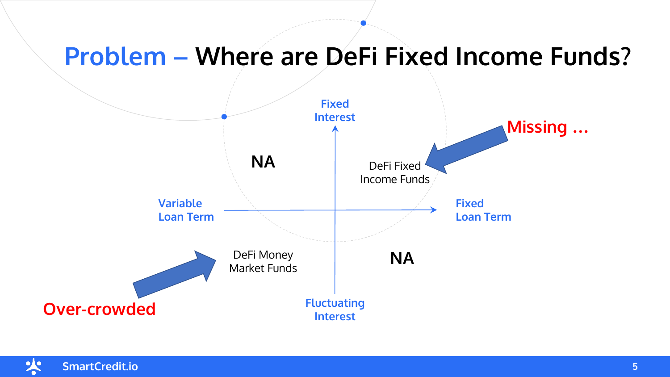## **Problem – Where are DeFi Fixed Income Funds?**



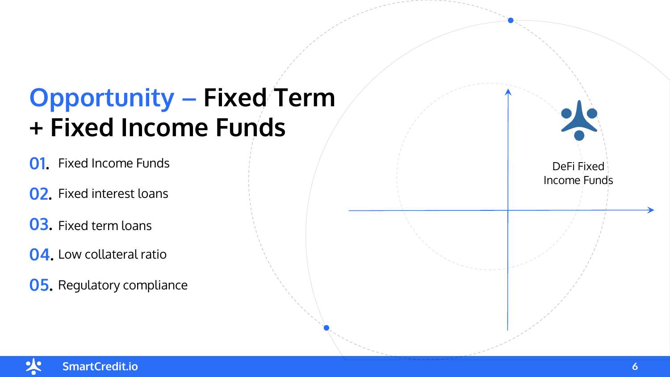## **Opportunity – Fixed Term + Fixed Income Funds**

**01.** Fixed Income Funds

- **02.** Fixed interest loans
- **03.** Fixed term loans
- **04.** Low collateral ratio
- **05.** Regulatory compliance

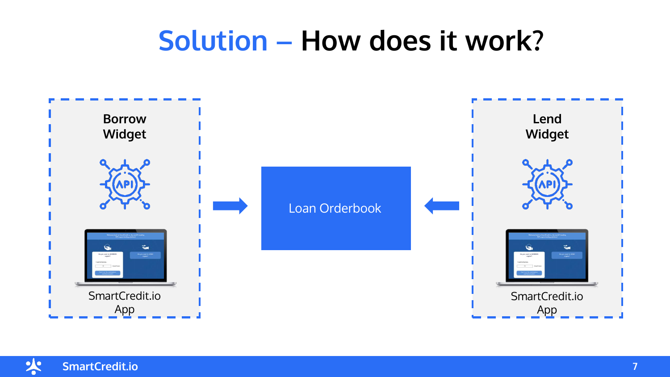## **Solution – How does it work?**



火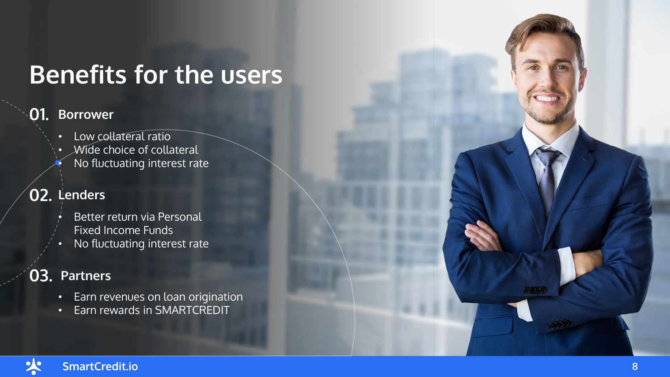## **Benefits for the users**

#### **01. Borrower**

- Low collateral ratio
- Wide choice of collateral • No fluctuating interest rate

#### **02. Lenders**

- Better return via Personal Fixed Income Funds
- No fluctuating interest rate

### **03. Partners**

- Earn revenues on loan origination
- Earn rewards in SMARTCREDIT

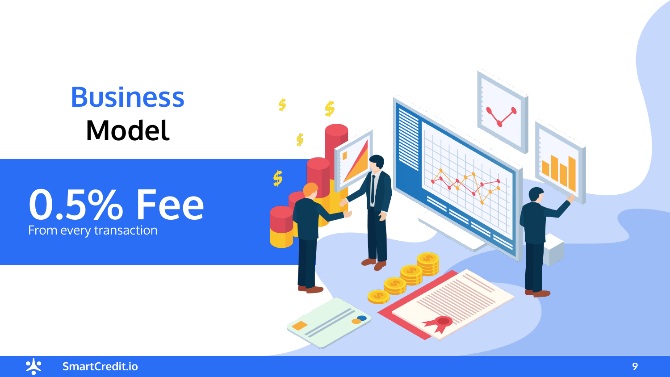## **Business Model**

## From every transaction **0.5% Fee**



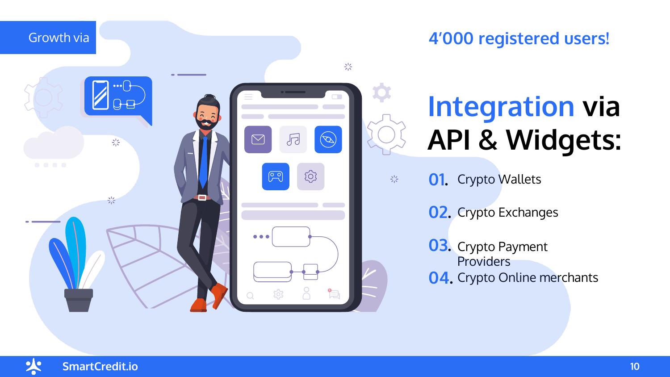

## **Integration via API & Widgets:**

- **01.** Crypto Wallets
	- **02.** Crypto Exchanges
	- **03.** Crypto Payment **Providers 04.** Crypto Online merchants